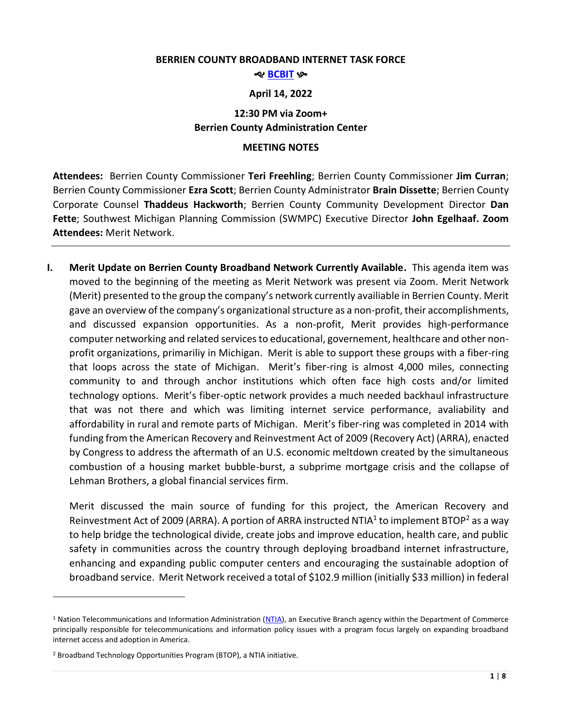#### **BERRIEN COUNTY BROADBAND INTERNET TASK FORCE**

#### శాల <mark>[BCBIT](https://www.berriencounty.org/1764/Berrien-County-Broadband-Internet-Task-F)</mark> છ≁

### **April 14, 2022**

# **12:30 PM via Zoom+ Berrien County Administration Center**

## **MEETING NOTES**

**Attendees:** Berrien County Commissioner **Teri Freehling**; Berrien County Commissioner **Jim Curran**; Berrien County Commissioner **Ezra Scott**; Berrien County Administrator **Brain Dissette**; Berrien County Corporate Counsel **Thaddeus Hackworth**; Berrien County Community Development Director **Dan Fette**; Southwest Michigan Planning Commission (SWMPC) Executive Director **John Egelhaaf. Zoom Attendees:** Merit Network.

**I. Merit Update on Berrien County Broadband Network Currently Available.** This agenda item was moved to the beginning of the meeting as Merit Network was present via Zoom. Merit Network (Merit) presented to the group the company's network currently availiable in Berrien County. Merit gave an overview of the company's organizational structure as a non-profit, their accomplishments, and discussed expansion opportunities. As a non-profit, Merit provides high-performance computer networking and related services to educational, governement, healthcare and other nonprofit organizations, primariliy in Michigan. Merit is able to support these groups with a fiber-ring that loops across the state of Michigan. Merit's fiber-ring is almost 4,000 miles, connecting community to and through anchor institutions which often face high costs and/or limited technology options. Merit's fiber-optic network provides a much needed backhaul infrastructure that was not there and which was limiting internet service performance, avaliability and affordability in rural and remote parts of Michigan. Merit's fiber-ring was completed in 2014 with funding from the American Recovery and Reinvestment Act of 2009 (Recovery Act) (ARRA), enacted by Congress to address the aftermath of an U.S. economic meltdown created by the simultaneous combustion of a housing market bubble-burst, a subprime mortgage crisis and the collapse of Lehman Brothers, a global financial services firm.

Merit discussed the main source of funding for this project, the American Recovery and Reinvestment Act of 2009 (ARRA). A portion of ARRA instructed NTIA<sup>1</sup> to implement BTOP<sup>2</sup> as a way to help bridge the technological divide, create jobs and improve education, health care, and public safety in communities across the country through deploying broadband internet infrastructure, enhancing and expanding public computer centers and encouraging the sustainable adoption of broadband service. Merit Network received a total of \$102.9 million (initially \$33 million) in federal

 $\overline{a}$ 

<sup>&</sup>lt;sup>1</sup> Nation Telecommunications and Information Administration [\(NTIA\)](https://www.ntia.doc.gov/), an Executive Branch agency within the Department of Commerce principally responsible for telecommunications and information policy issues with a program focus largely on expanding broadband internet access and adoption in America.

<sup>2</sup> Broadband Technology Opportunities Program (BTOP), a NTIA initiative.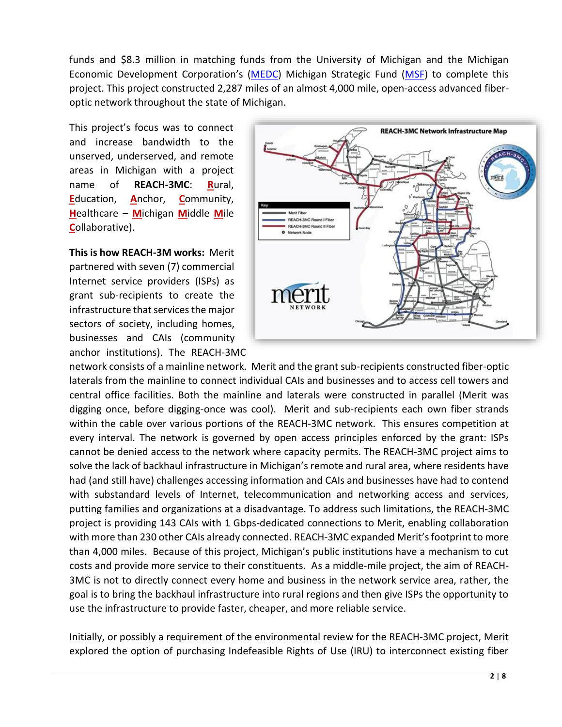funds and \$8.3 million in matching funds from the University of Michigan and the Michigan Economic Development Corporation's [\(MEDC\)](https://www.michiganbusiness.org/) Michigan Strategic Fund [\(MSF\)](https://www.michiganbusiness.org/about-medc/michigan-strategic-fund/) to complete this project. This project constructed 2,287 miles of an almost 4,000 mile, open-access advanced fiberoptic network throughout the state of Michigan.

This project's focus was to connect and increase bandwidth to the unserved, underserved, and remote areas in Michigan with a project name of **REACH-3MC**: **R**ural, **E**ducation, **A**nchor, **C**ommunity, **H**ealthcare – **M**ichigan **M**iddle **M**ile **C**ollaborative).

**This is how REACH-3M works:** Merit partnered with seven (7) commercial Internet service providers (ISPs) as grant sub-recipients to create the infrastructure that services the major sectors of society, including homes, businesses and CAIs (community anchor institutions). The REACH-3MC



network consists of a mainline network. Merit and the grant sub-recipients constructed fiber-optic laterals from the mainline to connect individual CAIs and businesses and to access cell towers and central office facilities. Both the mainline and laterals were constructed in parallel (Merit was digging once, before digging-once was cool). Merit and sub-recipients each own fiber strands within the cable over various portions of the REACH-3MC network. This ensures competition at every interval. The network is governed by open access principles enforced by the grant: ISPs cannot be denied access to the network where capacity permits. The REACH-3MC project aims to solve the lack of backhaul infrastructure in Michigan's remote and rural area, where residents have had (and still have) challenges accessing information and CAIs and businesses have had to contend with substandard levels of Internet, telecommunication and networking access and services, putting families and organizations at a disadvantage. To address such limitations, the REACH-3MC project is providing 143 CAIs with 1 Gbps-dedicated connections to Merit, enabling collaboration with more than 230 other CAIs already connected. REACH-3MC expanded Merit's footprint to more than 4,000 miles. Because of this project, Michigan's public institutions have a mechanism to cut costs and provide more service to their constituents. As a middle-mile project, the aim of REACH-3MC is not to directly connect every home and business in the network service area, rather, the goal is to bring the backhaul infrastructure into rural regions and then give ISPs the opportunity to use the infrastructure to provide faster, cheaper, and more reliable service.

Initially, or possibly a requirement of the environmental review for the REACH-3MC project, Merit explored the option of purchasing Indefeasible Rights of Use (IRU) to interconnect existing fiber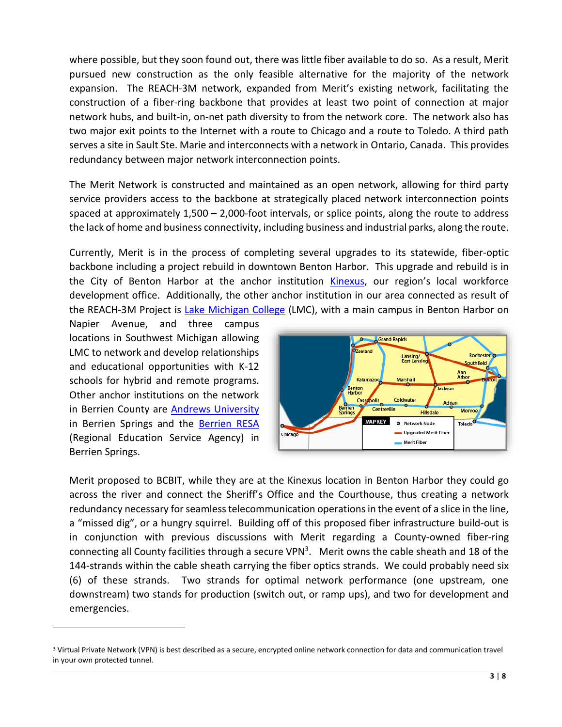where possible, but they soon found out, there was little fiber available to do so. As a result, Merit pursued new construction as the only feasible alternative for the majority of the network expansion. The REACH-3M network, expanded from Merit's existing network, facilitating the construction of a fiber-ring backbone that provides at least two point of connection at major network hubs, and built-in, on-net path diversity to from the network core. The network also has two major exit points to the Internet with a route to Chicago and a route to Toledo. A third path serves a site in Sault Ste. Marie and interconnects with a network in Ontario, Canada. This provides redundancy between major network interconnection points.

The Merit Network is constructed and maintained as an open network, allowing for third party service providers access to the backbone at strategically placed network interconnection points spaced at approximately 1,500 – 2,000-foot intervals, or splice points, along the route to address the lack of home and business connectivity, including business and industrial parks, along the route.

Currently, Merit is in the process of completing several upgrades to its statewide, fiber-optic backbone including a project rebuild in downtown Benton Harbor. This upgrade and rebuild is in the City of Benton Harbor at the anchor institution [Kinexus](https://www.kinexus.org/), our region's local workforce development office. Additionally, the other anchor institution in our area connected as result of the REACH-3M Project is [Lake Michigan College](https://www.lakemichigancollege.edu/) (LMC), with a main campus in Benton Harbor on

Napier Avenue, and three campus locations in Southwest Michigan allowing LMC to network and develop relationships and educational opportunities with K-12 schools for hybrid and remote programs. Other anchor institutions on the network in Berrien County are [Andrews University](https://www.andrews.edu/) in Berrien Springs and the [Berrien RESA](https://berrienresa.org/) (Regional Education Service Agency) in Berrien Springs.

 $\overline{a}$ 



Merit proposed to BCBIT, while they are at the Kinexus location in Benton Harbor they could go across the river and connect the Sheriff's Office and the Courthouse, thus creating a network redundancy necessary for seamless telecommunication operations in the event of a slice in the line, a "missed dig", or a hungry squirrel. Building off of this proposed fiber infrastructure build-out is in conjunction with previous discussions with Merit regarding a County-owned fiber-ring connecting all County facilities through a secure VPN<sup>3</sup>. Merit owns the cable sheath and 18 of the 144-strands within the cable sheath carrying the fiber optics strands. We could probably need six (6) of these strands. Two strands for optimal network performance (one upstream, one downstream) two stands for production (switch out, or ramp ups), and two for development and emergencies.

<sup>3</sup> Virtual Private Network (VPN) is best described as a secure, encrypted online network connection for data and communication travel in your own protected tunnel.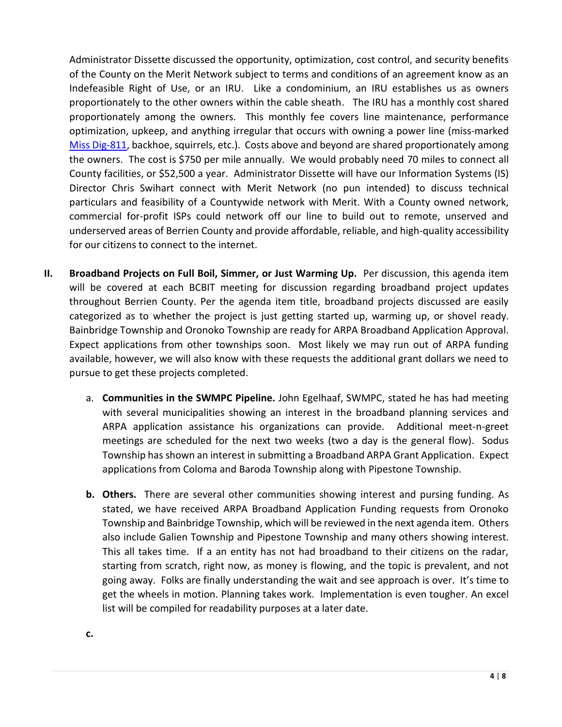Administrator Dissette discussed the opportunity, optimization, cost control, and security benefits of the County on the Merit Network subject to terms and conditions of an agreement know as an Indefeasible Right of Use, or an IRU. Like a condominium, an IRU establishes us as owners proportionately to the other owners within the cable sheath. The IRU has a monthly cost shared proportionately among the owners. This monthly fee covers line maintenance, performance optimization, upkeep, and anything irregular that occurs with owning a power line (miss-marked [Miss Dig-811,](https://www.missdig811.org/) backhoe, squirrels, etc.). Costs above and beyond are shared proportionately among the owners. The cost is \$750 per mile annually. We would probably need 70 miles to connect all County facilities, or \$52,500 a year. Administrator Dissette will have our Information Systems (IS) Director Chris Swihart connect with Merit Network (no pun intended) to discuss technical particulars and feasibility of a Countywide network with Merit. With a County owned network, commercial for-profit ISPs could network off our line to build out to remote, unserved and underserved areas of Berrien County and provide affordable, reliable, and high-quality accessibility for our citizens to connect to the internet.

- **II.** Broadband Projects on Full Boil, Simmer, or Just Warming Up. Per discussion, this agenda item will be covered at each BCBIT meeting for discussion regarding broadband project updates throughout Berrien County. Per the agenda item title, broadband projects discussed are easily categorized as to whether the project is just getting started up, warming up, or shovel ready. Bainbridge Township and Oronoko Township are ready for ARPA Broadband Application Approval. Expect applications from other townships soon. Most likely we may run out of ARPA funding available, however, we will also know with these requests the additional grant dollars we need to pursue to get these projects completed.
	- a. **Communities in the SWMPC Pipeline.** John Egelhaaf, SWMPC, stated he has had meeting with several municipalities showing an interest in the broadband planning services and ARPA application assistance his organizations can provide. Additional meet-n-greet meetings are scheduled for the next two weeks (two a day is the general flow). Sodus Township has shown an interest in submitting a Broadband ARPA Grant Application. Expect applications from Coloma and Baroda Township along with Pipestone Township.
	- **b. Others.** There are several other communities showing interest and pursing funding. As stated, we have received ARPA Broadband Application Funding requests from Oronoko Township and Bainbridge Township, which will be reviewed in the next agenda item. Others also include Galien Township and Pipestone Township and many others showing interest. This all takes time. If a an entity has not had broadband to their citizens on the radar, starting from scratch, right now, as money is flowing, and the topic is prevalent, and not going away. Folks are finally understanding the wait and see approach is over. It's time to get the wheels in motion. Planning takes work. Implementation is even tougher. An excel list will be compiled for readability purposes at a later date.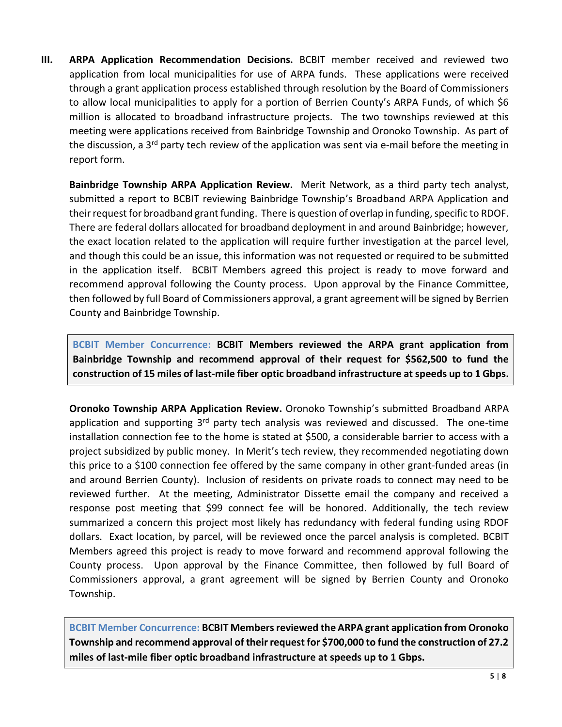**III. ARPA Application Recommendation Decisions.** BCBIT member received and reviewed two application from local municipalities for use of ARPA funds. These applications were received through a grant application process established through resolution by the Board of Commissioners to allow local municipalities to apply for a portion of Berrien County's ARPA Funds, of which \$6 million is allocated to broadband infrastructure projects. The two townships reviewed at this meeting were applications received from Bainbridge Township and Oronoko Township. As part of the discussion, a 3<sup>rd</sup> party tech review of the application was sent via e-mail before the meeting in report form.

**Bainbridge Township ARPA Application Review.** Merit Network, as a third party tech analyst, submitted a report to BCBIT reviewing Bainbridge Township's Broadband ARPA Application and their request for broadband grant funding. There is question of overlap in funding, specific to RDOF. There are federal dollars allocated for broadband deployment in and around Bainbridge; however, the exact location related to the application will require further investigation at the parcel level, and though this could be an issue, this information was not requested or required to be submitted in the application itself. BCBIT Members agreed this project is ready to move forward and recommend approval following the County process. Upon approval by the Finance Committee, then followed by full Board of Commissioners approval, a grant agreement will be signed by Berrien County and Bainbridge Township.

**BCBIT Member Concurrence: BCBIT Members reviewed the ARPA grant application from Bainbridge Township and recommend approval of their request for \$562,500 to fund the construction of 15 miles of last-mile fiber optic broadband infrastructure at speeds up to 1 Gbps.** 

**Oronoko Township ARPA Application Review.** Oronoko Township's submitted Broadband ARPA application and supporting  $3<sup>rd</sup>$  party tech analysis was reviewed and discussed. The one-time installation connection fee to the home is stated at \$500, a considerable barrier to access with a project subsidized by public money. In Merit's tech review, they recommended negotiating down this price to a \$100 connection fee offered by the same company in other grant-funded areas (in and around Berrien County). Inclusion of residents on private roads to connect may need to be reviewed further. At the meeting, Administrator Dissette email the company and received a response post meeting that \$99 connect fee will be honored. Additionally, the tech review summarized a concern this project most likely has redundancy with federal funding using RDOF dollars. Exact location, by parcel, will be reviewed once the parcel analysis is completed. BCBIT Members agreed this project is ready to move forward and recommend approval following the County process. Upon approval by the Finance Committee, then followed by full Board of Commissioners approval, a grant agreement will be signed by Berrien County and Oronoko Township.

**BCBIT Member Concurrence: BCBIT Members reviewed the ARPA grant application from Oronoko Township and recommend approval of their request for \$700,000 to fund the construction of 27.2 miles of last-mile fiber optic broadband infrastructure at speeds up to 1 Gbps.**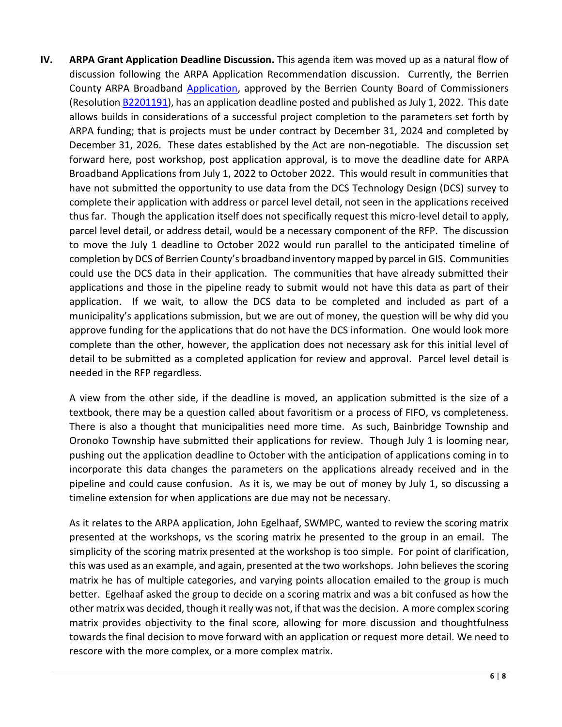**IV. ARPA Grant Application Deadline Discussion.** This agenda item was moved up as a natural flow of discussion following the ARPA Application Recommendation discussion. Currently, the Berrien County ARPA Broadband [Application,](https://www.berriencounty.org/DocumentCenter/View/15307/01-27-22-ARPA-Broadband-Application) approved by the Berrien County Board of Commissioners (Resolutio[n B2201191\)](https://www.berriencounty.org/DocumentCenter/View/15331/B2201191), has an application deadline posted and published as July 1, 2022. This date allows builds in considerations of a successful project completion to the parameters set forth by ARPA funding; that is projects must be under contract by December 31, 2024 and completed by December 31, 2026. These dates established by the Act are non-negotiable. The discussion set forward here, post workshop, post application approval, is to move the deadline date for ARPA Broadband Applications from July 1, 2022 to October 2022. This would result in communities that have not submitted the opportunity to use data from the DCS Technology Design (DCS) survey to complete their application with address or parcel level detail, not seen in the applications received thus far. Though the application itself does not specifically request this micro-level detail to apply, parcel level detail, or address detail, would be a necessary component of the RFP. The discussion to move the July 1 deadline to October 2022 would run parallel to the anticipated timeline of completion by DCS of Berrien County's broadband inventory mapped by parcel in GIS. Communities could use the DCS data in their application. The communities that have already submitted their applications and those in the pipeline ready to submit would not have this data as part of their application. If we wait, to allow the DCS data to be completed and included as part of a municipality's applications submission, but we are out of money, the question will be why did you approve funding for the applications that do not have the DCS information. One would look more complete than the other, however, the application does not necessary ask for this initial level of detail to be submitted as a completed application for review and approval. Parcel level detail is needed in the RFP regardless.

A view from the other side, if the deadline is moved, an application submitted is the size of a textbook, there may be a question called about favoritism or a process of FIFO, vs completeness. There is also a thought that municipalities need more time. As such, Bainbridge Township and Oronoko Township have submitted their applications for review. Though July 1 is looming near, pushing out the application deadline to October with the anticipation of applications coming in to incorporate this data changes the parameters on the applications already received and in the pipeline and could cause confusion. As it is, we may be out of money by July 1, so discussing a timeline extension for when applications are due may not be necessary.

As it relates to the ARPA application, John Egelhaaf, SWMPC, wanted to review the scoring matrix presented at the workshops, vs the scoring matrix he presented to the group in an email. The simplicity of the scoring matrix presented at the workshop is too simple. For point of clarification, this was used as an example, and again, presented at the two workshops. John believes the scoring matrix he has of multiple categories, and varying points allocation emailed to the group is much better. Egelhaaf asked the group to decide on a scoring matrix and was a bit confused as how the other matrix was decided, though it really was not, if that was the decision. A more complex scoring matrix provides objectivity to the final score, allowing for more discussion and thoughtfulness towards the final decision to move forward with an application or request more detail. We need to rescore with the more complex, or a more complex matrix.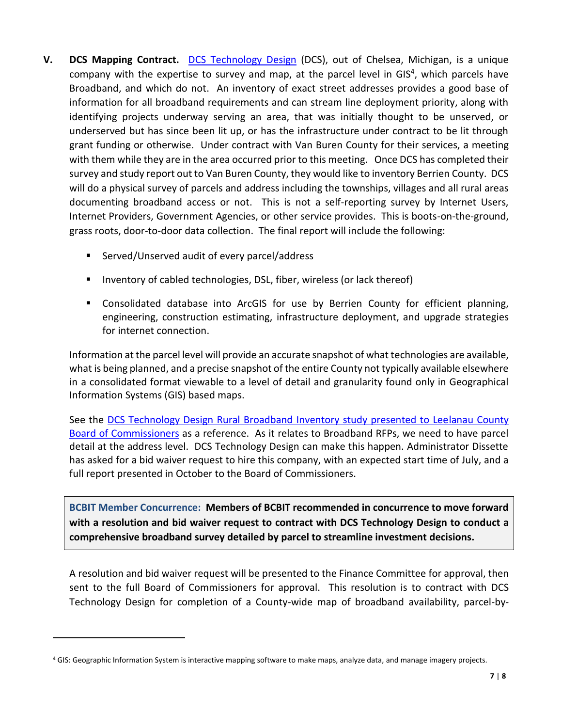- **V. DCS Mapping Contract. [DCS Technology Design](https://www.dcstechnology.com/)** (DCS), out of Chelsea, Michigan, is a unique company with the expertise to survey and map, at the parcel level in GIS<sup>4</sup>, which parcels have Broadband, and which do not. An inventory of exact street addresses provides a good base of information for all broadband requirements and can stream line deployment priority, along with identifying projects underway serving an area, that was initially thought to be unserved, or underserved but has since been lit up, or has the infrastructure under contract to be lit through grant funding or otherwise. Under contract with Van Buren County for their services, a meeting with them while they are in the area occurred prior to this meeting. Once DCS has completed their survey and study report out to Van Buren County, they would like to inventory Berrien County. DCS will do a physical survey of parcels and address including the townships, villages and all rural areas documenting broadband access or not. This is not a self-reporting survey by Internet Users, Internet Providers, Government Agencies, or other service provides. This is boots-on-the-ground, grass roots, door-to-door data collection. The final report will include the following:
	- Served/Unserved audit of every parcel/address
	- **Inventory of cabled technologies, DSL, fiber, wireless (or lack thereof)**
	- Consolidated database into ArcGIS for use by Berrien County for efficient planning, engineering, construction estimating, infrastructure deployment, and upgrade strategies for internet connection.

Information at the parcel level will provide an accurate snapshot of what technologies are available, what is being planned, and a precise snapshot of the entire County not typically available elsewhere in a consolidated format viewable to a level of detail and granularity found only in Geographical Information Systems (GIS) based maps.

See the [DCS Technology Design Rural Broadband Inventory study presented to Leelanau County](https://www.leelanau.gov/downloads/leelanau_broadband_report_ver210923_ver2_1.pdf?fbclid=IwAR3_ySCSrSfRC96hoAvQDrn_c8BrUvZ4moufBn9Sr0mI-cCKrTfB9YFQmNQ)  [Board of Commissioners](https://www.leelanau.gov/downloads/leelanau_broadband_report_ver210923_ver2_1.pdf?fbclid=IwAR3_ySCSrSfRC96hoAvQDrn_c8BrUvZ4moufBn9Sr0mI-cCKrTfB9YFQmNQ) as a reference. As it relates to Broadband RFPs, we need to have parcel detail at the address level. DCS Technology Design can make this happen. Administrator Dissette has asked for a bid waiver request to hire this company, with an expected start time of July, and a full report presented in October to the Board of Commissioners.

**BCBIT Member Concurrence: Members of BCBIT recommended in concurrence to move forward with a resolution and bid waiver request to contract with DCS Technology Design to conduct a comprehensive broadband survey detailed by parcel to streamline investment decisions.** 

A resolution and bid waiver request will be presented to the Finance Committee for approval, then sent to the full Board of Commissioners for approval. This resolution is to contract with DCS Technology Design for completion of a County-wide map of broadband availability, parcel-by-

 $\overline{a}$ 

<sup>4</sup> GIS: Geographic Information System is interactive mapping software to make maps, analyze data, and manage imagery projects.